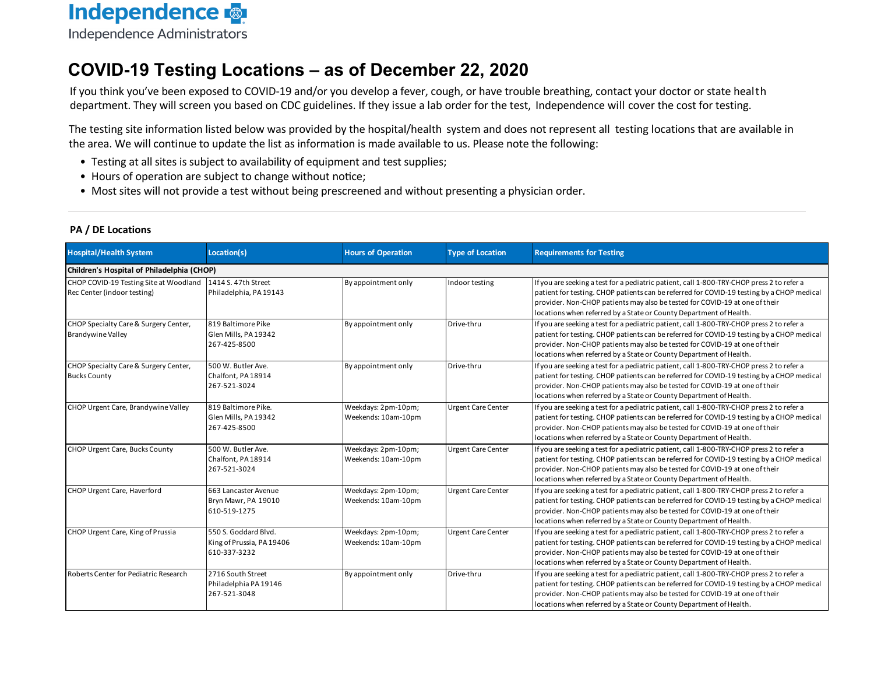

#### **COVID-19 Testing Locations – as of December 22, 2020**

 If you think you've been exposed to COVID‐<sup>19</sup> and/or you develop <sup>a</sup> fever, cough, or have trouble breathing, contact your doctor or state health department. They will screen you based on CDC guidelines. If they issue <sup>a</sup> lab order for the test, Independence will cover the cost for testing.

The testing site information listed below was provided by the hospital/health system and does not represent all testing locations that are available in the area. We will continue to update the list as information is made available to us. Please note the following:

- Testing at all sites is subject to availability of equipment and test supplies;
- Hours of operation are subject to change without notice;
- **•** Most sites will not provide a test without being prescreened and without presenting a physician order.

#### **PA / DE Locations**

| <b>Hospital/Health System</b>                                                             | Location(s)                                                       | <b>Hours of Operation</b>                  | <b>Type of Location</b>   | <b>Requirements for Testing</b>                                                                                                                                                                                                                                                                                                             |  |  |  |  |
|-------------------------------------------------------------------------------------------|-------------------------------------------------------------------|--------------------------------------------|---------------------------|---------------------------------------------------------------------------------------------------------------------------------------------------------------------------------------------------------------------------------------------------------------------------------------------------------------------------------------------|--|--|--|--|
|                                                                                           | Children's Hospital of Philadelphia (CHOP)                        |                                            |                           |                                                                                                                                                                                                                                                                                                                                             |  |  |  |  |
| CHOP COVID-19 Testing Site at Woodland 1414 S. 47th Street<br>Rec Center (indoor testing) | Philadelphia, PA 19143                                            | By appointment only                        | Indoor testing            | If you are seeking a test for a pediatric patient, call 1-800-TRY-CHOP press 2 to refer a<br>patient for testing. CHOP patients can be referred for COVID-19 testing by a CHOP medical<br>provider. Non-CHOP patients may also be tested for COVID-19 at one of their<br>locations when referred by a State or County Department of Health. |  |  |  |  |
| CHOP Specialty Care & Surgery Center,<br><b>Brandywine Valley</b>                         | 819 Baltimore Pike<br>Glen Mills, PA 19342<br>267-425-8500        | By appointment only                        | Drive-thru                | If you are seeking a test for a pediatric patient, call 1-800-TRY-CHOP press 2 to refer a<br>patient for testing. CHOP patients can be referred for COVID-19 testing by a CHOP medical<br>provider. Non-CHOP patients may also be tested for COVID-19 at one of their<br>locations when referred by a State or County Department of Health. |  |  |  |  |
| CHOP Specialty Care & Surgery Center,<br><b>Bucks County</b>                              | 500 W. Butler Ave.<br>Chalfont, PA 18914<br>267-521-3024          | By appointment only                        | Drive-thru                | If you are seeking a test for a pediatric patient, call 1-800-TRY-CHOP press 2 to refer a<br>patient for testing. CHOP patients can be referred for COVID-19 testing by a CHOP medical<br>provider. Non-CHOP patients may also be tested for COVID-19 at one of their<br>locations when referred by a State or County Department of Health. |  |  |  |  |
| CHOP Urgent Care, Brandywine Valley                                                       | 819 Baltimore Pike.<br>Glen Mills, PA 19342<br>267-425-8500       | Weekdays: 2pm-10pm;<br>Weekends: 10am-10pm | <b>Urgent Care Center</b> | If you are seeking a test for a pediatric patient, call 1-800-TRY-CHOP press 2 to refer a<br>patient for testing. CHOP patients can be referred for COVID-19 testing by a CHOP medical<br>provider. Non-CHOP patients may also be tested for COVID-19 at one of their<br>locations when referred by a State or County Department of Health. |  |  |  |  |
| <b>CHOP Urgent Care, Bucks County</b>                                                     | 500 W. Butler Ave.<br>Chalfont, PA 18914<br>267-521-3024          | Weekdays: 2pm-10pm;<br>Weekends: 10am-10pm | <b>Urgent Care Center</b> | If you are seeking a test for a pediatric patient, call 1-800-TRY-CHOP press 2 to refer a<br>patient for testing. CHOP patients can be referred for COVID-19 testing by a CHOP medical<br>provider. Non-CHOP patients may also be tested for COVID-19 at one of their<br>locations when referred by a State or County Department of Health. |  |  |  |  |
| CHOP Urgent Care, Haverford                                                               | 663 Lancaster Avenue<br>Bryn Mawr, PA 19010<br>610-519-1275       | Weekdays: 2pm-10pm;<br>Weekends: 10am-10pm | <b>Urgent Care Center</b> | If you are seeking a test for a pediatric patient, call 1-800-TRY-CHOP press 2 to refer a<br>patient for testing. CHOP patients can be referred for COVID-19 testing by a CHOP medical<br>provider. Non-CHOP patients may also be tested for COVID-19 at one of their<br>locations when referred by a State or County Department of Health. |  |  |  |  |
| CHOP Urgent Care, King of Prussia                                                         | 550 S. Goddard Blvd.<br>King of Prussia, PA 19406<br>610-337-3232 | Weekdays: 2pm-10pm;<br>Weekends: 10am-10pm | <b>Urgent Care Center</b> | If you are seeking a test for a pediatric patient, call 1-800-TRY-CHOP press 2 to refer a<br>patient for testing. CHOP patients can be referred for COVID-19 testing by a CHOP medical<br>provider. Non-CHOP patients may also be tested for COVID-19 at one of their<br>locations when referred by a State or County Department of Health. |  |  |  |  |
| Roberts Center for Pediatric Research                                                     | 2716 South Street<br>Philadelphia PA 19146<br>267-521-3048        | By appointment only                        | Drive-thru                | If you are seeking a test for a pediatric patient, call 1-800-TRY-CHOP press 2 to refer a<br>patient for testing. CHOP patients can be referred for COVID-19 testing by a CHOP medical<br>provider. Non-CHOP patients may also be tested for COVID-19 at one of their<br>locations when referred by a State or County Department of Health. |  |  |  |  |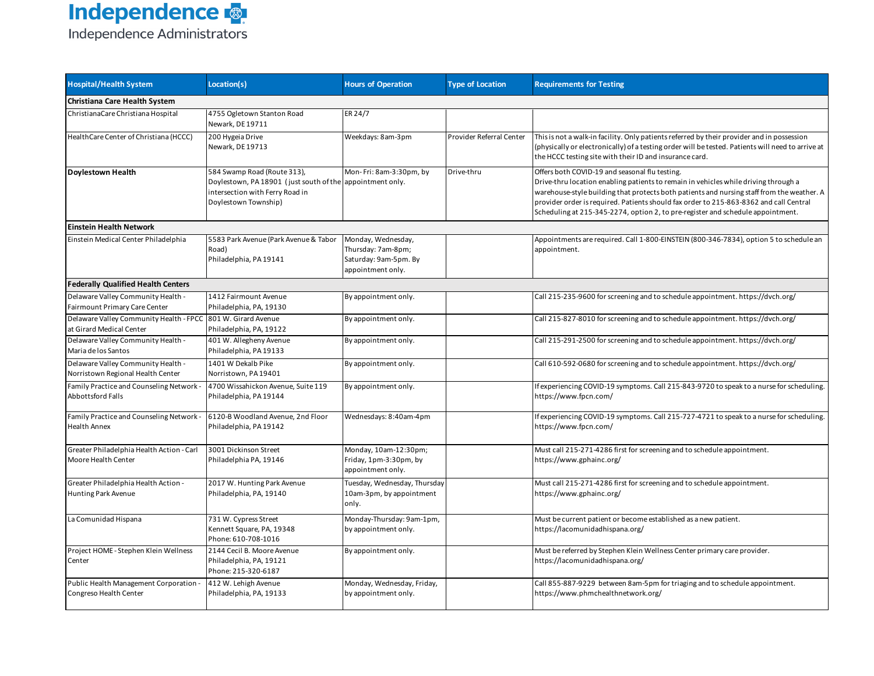

| <b>Hospital/Health System</b>                                                            | Location(s)                                                                                                                                         | <b>Hours of Operation</b>                                                              | <b>Type of Location</b>  | <b>Requirements for Testing</b>                                                                                                                                                                                                                                                                                                                                                                                  |
|------------------------------------------------------------------------------------------|-----------------------------------------------------------------------------------------------------------------------------------------------------|----------------------------------------------------------------------------------------|--------------------------|------------------------------------------------------------------------------------------------------------------------------------------------------------------------------------------------------------------------------------------------------------------------------------------------------------------------------------------------------------------------------------------------------------------|
| Christiana Care Health System                                                            |                                                                                                                                                     |                                                                                        |                          |                                                                                                                                                                                                                                                                                                                                                                                                                  |
| ChristianaCare Christiana Hospital                                                       | 4755 Ogletown Stanton Road<br>Newark, DE 19711                                                                                                      | ER 24/7                                                                                |                          |                                                                                                                                                                                                                                                                                                                                                                                                                  |
| HealthCare Center of Christiana (HCCC)                                                   | 200 Hygeia Drive<br>Newark, DE 19713                                                                                                                | Weekdays: 8am-3pm                                                                      | Provider Referral Center | This is not a walk-in facility. Only patients referred by their provider and in possession<br>(physically or electronically) of a testing order will be tested. Patients will need to arrive at<br>the HCCC testing site with their ID and insurance card.                                                                                                                                                       |
| <b>Doylestown Health</b>                                                                 | 584 Swamp Road (Route 313),<br>Doylestown, PA 18901 (just south of the appointment only.<br>intersection with Ferry Road in<br>Doylestown Township) | Mon-Fri: 8am-3:30pm, by                                                                | Drive-thru               | Offers both COVID-19 and seasonal flu testing.<br>Drive-thru location enabling patients to remain in vehicles while driving through a<br>warehouse-style building that protects both patients and nursing staff from the weather. A<br>provider order is required. Patients should fax order to 215-863-8362 and call Central<br>Scheduling at 215-345-2274, option 2, to pre-register and schedule appointment. |
| <b>Einstein Health Network</b>                                                           |                                                                                                                                                     |                                                                                        |                          |                                                                                                                                                                                                                                                                                                                                                                                                                  |
| Einstein Medical Center Philadelphia                                                     | 5583 Park Avenue (Park Avenue & Tabor<br>Road)<br>Philadelphia, PA 19141                                                                            | Monday, Wednesday,<br>Thursday: 7am-8pm;<br>Saturday: 9am-5pm. By<br>appointment only. |                          | Appointments are required. Call 1-800-EINSTEIN (800-346-7834), option 5 to schedule an<br>appointment.                                                                                                                                                                                                                                                                                                           |
| <b>Federally Qualified Health Centers</b>                                                |                                                                                                                                                     |                                                                                        |                          |                                                                                                                                                                                                                                                                                                                                                                                                                  |
| Delaware Valley Community Health -<br>Fairmount Primary Care Center                      | 1412 Fairmount Avenue<br>Philadelphia, PA, 19130                                                                                                    | By appointment only.                                                                   |                          | Call 215-235-9600 for screening and to schedule appointment. https://dvch.org/                                                                                                                                                                                                                                                                                                                                   |
| Delaware Valley Community Health - FPCC 801 W. Girard Avenue<br>at Girard Medical Center | Philadelphia, PA, 19122                                                                                                                             | By appointment only.                                                                   |                          | Call 215-827-8010 for screening and to schedule appointment. https://dvch.org/                                                                                                                                                                                                                                                                                                                                   |
| Delaware Valley Community Health -<br>Maria de los Santos                                | 401 W. Allegheny Avenue<br>Philadelphia, PA 19133                                                                                                   | By appointment only.                                                                   |                          | Call 215-291-2500 for screening and to schedule appointment. https://dvch.org/                                                                                                                                                                                                                                                                                                                                   |
| Delaware Valley Community Health -<br>Norristown Regional Health Center                  | 1401 W Dekalb Pike<br>Norristown, PA 19401                                                                                                          | By appointment only.                                                                   |                          | Call 610-592-0680 for screening and to schedule appointment. https://dvch.org/                                                                                                                                                                                                                                                                                                                                   |
| Family Practice and Counseling Network<br>Abbottsford Falls                              | 4700 Wissahickon Avenue, Suite 119<br>Philadelphia, PA 19144                                                                                        | By appointment only.                                                                   |                          | If experiencing COVID-19 symptoms. Call 215-843-9720 to speak to a nurse for scheduling.<br>https://www.fpcn.com/                                                                                                                                                                                                                                                                                                |
| Family Practice and Counseling Network<br><b>Health Annex</b>                            | 6120-B Woodland Avenue, 2nd Floor<br>Philadelphia, PA 19142                                                                                         | Wednesdays: 8:40am-4pm                                                                 |                          | If experiencing COVID-19 symptoms. Call 215-727-4721 to speak to a nurse for scheduling.<br>https://www.fpcn.com/                                                                                                                                                                                                                                                                                                |
| Greater Philadelphia Health Action - Carl<br>Moore Health Center                         | 3001 Dickinson Street<br>Philadelphia PA, 19146                                                                                                     | Monday, 10am-12:30pm;<br>Friday, 1pm-3:30pm, by<br>appointment only.                   |                          | Must call 215-271-4286 first for screening and to schedule appointment.<br>https://www.gphainc.org/                                                                                                                                                                                                                                                                                                              |
| Greater Philadelphia Health Action -<br>Hunting Park Avenue                              | 2017 W. Hunting Park Avenue<br>Philadelphia, PA, 19140                                                                                              | Tuesday, Wednesday, Thursday<br>10am-3pm, by appointment<br>only.                      |                          | Must call 215-271-4286 first for screening and to schedule appointment.<br>https://www.gphainc.org/                                                                                                                                                                                                                                                                                                              |
| La Comunidad Hispana                                                                     | 731 W. Cypress Street<br>Kennett Square, PA, 19348<br>Phone: 610-708-1016                                                                           | Monday-Thursday: 9am-1pm,<br>by appointment only.                                      |                          | Must be current patient or become established as a new patient.<br>https://lacomunidadhispana.org/                                                                                                                                                                                                                                                                                                               |
| Project HOME - Stephen Klein Wellness<br>Center                                          | 2144 Cecil B. Moore Avenue<br>Philadelphia, PA, 19121<br>Phone: 215-320-6187                                                                        | By appointment only.                                                                   |                          | Must be referred by Stephen Klein Wellness Center primary care provider.<br>https://lacomunidadhispana.org/                                                                                                                                                                                                                                                                                                      |
| Public Health Management Corporation<br>Congreso Health Center                           | 412 W. Lehigh Avenue<br>Philadelphia, PA, 19133                                                                                                     | Monday, Wednesday, Friday,<br>by appointment only.                                     |                          | Call 855-887-9229 between 8am-5pm for triaging and to schedule appointment.<br>https://www.phmchealthnetwork.org/                                                                                                                                                                                                                                                                                                |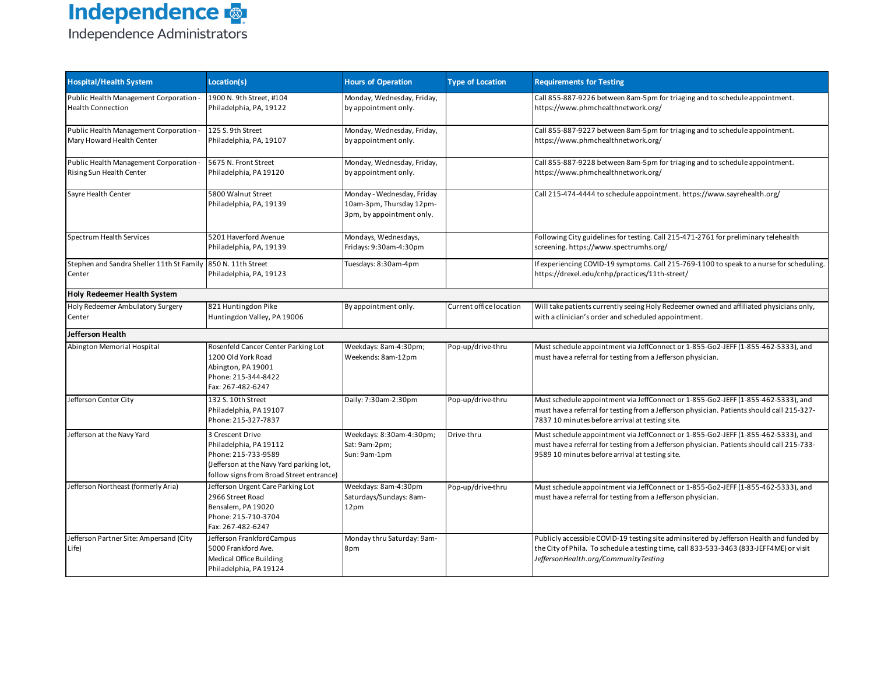| <b>Hospital/Health System</b>                                          | Location(s)                                                                                                                                               | <b>Hours of Operation</b>                                                           | <b>Type of Location</b> | <b>Requirements for Testing</b>                                                                                                                                                                                                    |
|------------------------------------------------------------------------|-----------------------------------------------------------------------------------------------------------------------------------------------------------|-------------------------------------------------------------------------------------|-------------------------|------------------------------------------------------------------------------------------------------------------------------------------------------------------------------------------------------------------------------------|
| Public Health Management Corporation -<br><b>Health Connection</b>     | 1900 N. 9th Street, #104<br>Philadelphia, PA, 19122                                                                                                       | Monday, Wednesday, Friday,<br>by appointment only.                                  |                         | Call 855-887-9226 between 8am-5pm for triaging and to schedule appointment.<br>https://www.phmchealthnetwork.org/                                                                                                                  |
| Public Health Management Corporation -<br>Mary Howard Health Center    | 125 S. 9th Street<br>Philadelphia, PA, 19107                                                                                                              | Monday, Wednesday, Friday,<br>by appointment only.                                  |                         | Call 855-887-9227 between 8am-5pm for triaging and to schedule appointment.<br>https://www.phmchealthnetwork.org/                                                                                                                  |
| Public Health Management Corporation -<br>Rising Sun Health Center     | 5675 N. Front Street<br>Philadelphia, PA 19120                                                                                                            | Monday, Wednesday, Friday,<br>by appointment only.                                  |                         | Call 855-887-9228 between 8am-5pm for triaging and to schedule appointment.<br>https://www.phmchealthnetwork.org/                                                                                                                  |
| Sayre Health Center                                                    | 5800 Walnut Street<br>Philadelphia, PA, 19139                                                                                                             | Monday - Wednesday, Friday<br>10am-3pm, Thursday 12pm-<br>3pm, by appointment only. |                         | Call 215-474-4444 to schedule appointment. https://www.sayrehealth.org/                                                                                                                                                            |
| Spectrum Health Services                                               | 5201 Haverford Avenue<br>Philadelphia, PA, 19139                                                                                                          | Mondays, Wednesdays,<br>Fridays: 9:30am-4:30pm                                      |                         | Following City guidelines for testing. Call 215-471-2761 for preliminary telehealth<br>screening. https://www.spectrumhs.org/                                                                                                      |
| Stephen and Sandra Sheller 11th St Family 850 N. 11th Street<br>Center | Philadelphia, PA, 19123                                                                                                                                   | Tuesdays: 8:30am-4pm                                                                |                         | If experiencing COVID-19 symptoms. Call 215-769-1100 to speak to a nurse for scheduling.<br>https://drexel.edu/cnhp/practices/11th-street/                                                                                         |
| <b>Holy Redeemer Health System</b>                                     |                                                                                                                                                           |                                                                                     |                         |                                                                                                                                                                                                                                    |
| Holy Redeemer Ambulatory Surgery<br>Center                             | 821 Huntingdon Pike<br>Huntingdon Valley, PA 19006                                                                                                        | By appointment only.                                                                | Current office location | Will take patients currently seeing Holy Redeemer owned and affiliated physicians only,<br>with a clinician's order and scheduled appointment.                                                                                     |
| Jefferson Health                                                       |                                                                                                                                                           |                                                                                     |                         |                                                                                                                                                                                                                                    |
| Abington Memorial Hospital                                             | Rosenfeld Cancer Center Parking Lot<br>1200 Old York Road<br>Abington, PA 19001<br>Phone: 215-344-8422<br>Fax: 267-482-6247                               | Weekdays: 8am-4:30pm;<br>Weekends: 8am-12pm                                         | Pop-up/drive-thru       | Must schedule appointment via JeffConnect or 1-855-Go2-JEFF (1-855-462-5333), and<br>must have a referral for testing from a Jefferson physician.                                                                                  |
| Jefferson Center City                                                  | 132 S. 10th Street<br>Philadelphia, PA 19107<br>Phone: 215-327-7837                                                                                       | Daily: 7:30am-2:30pm                                                                | Pop-up/drive-thru       | Must schedule appointment via JeffConnect or 1-855-Go2-JEFF (1-855-462-5333), and<br>must have a referral for testing from a Jefferson physician. Patients should call 215-327-<br>7837 10 minutes before arrival at testing site. |
| Jefferson at the Navy Yard                                             | 3 Crescent Drive<br>Philadelphia, PA 19112<br>Phone: 215-733-9589<br>(Jefferson at the Navy Yard parking lot,<br>follow signs from Broad Street entrance) | Weekdays: 8:30am-4:30pm;<br>Sat: 9am-2pm;<br>Sun: 9am-1pm                           | Drive-thru              | Must schedule appointment via JeffConnect or 1-855-Go2-JEFF (1-855-462-5333), and<br>must have a referral for testing from a Jefferson physician. Patients should call 215-733-<br>9589 10 minutes before arrival at testing site. |
| Jefferson Northeast (formerly Aria)                                    | Jefferson Urgent Care Parking Lot<br>2966 Street Road<br>Bensalem, PA 19020<br>Phone: 215-710-3704<br>Fax: 267-482-6247                                   | Weekdays: 8am-4:30pm<br>Saturdays/Sundays: 8am-<br>12pm                             | Pop-up/drive-thru       | Must schedule appointment via JeffConnect or 1-855-Go2-JEFF (1-855-462-5333), and<br>must have a referral for testing from a Jefferson physician.                                                                                  |
| Jefferson Partner Site: Ampersand (City<br>Life)                       | Jefferson FrankfordCampus<br>5000 Frankford Ave.<br><b>Medical Office Building</b><br>Philadelphia, PA 19124                                              | Monday thru Saturday: 9am-<br>8pm                                                   |                         | Publicly accessible COVID-19 testing site adminsitered by Jefferson Health and funded by<br>the City of Phila. To schedule a testing time, call 833-533-3463 (833-JEFF4ME) or visit<br>JeffersonHealth.org/CommunityTesting        |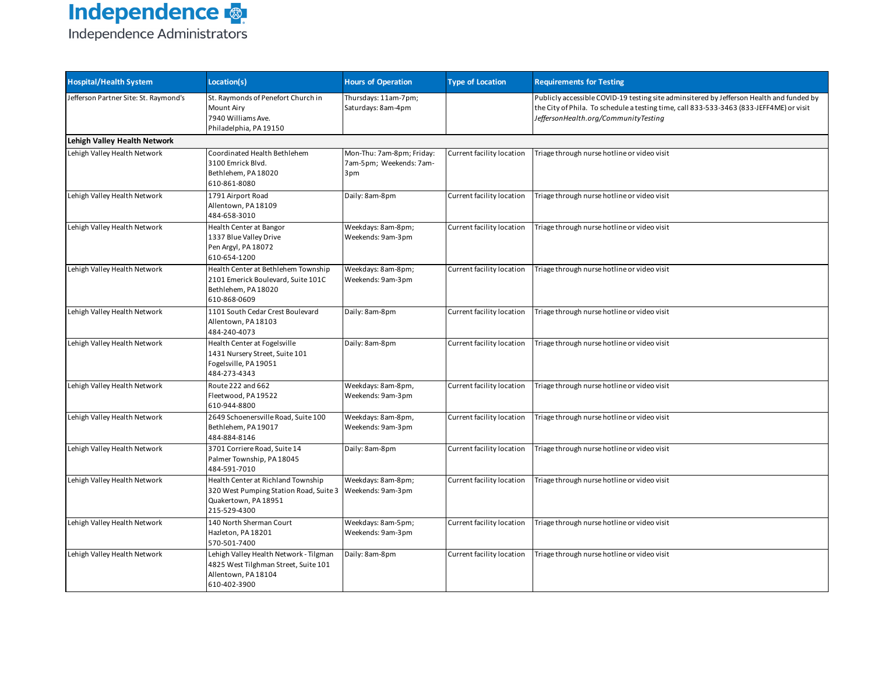| <b>Hospital/Health System</b>         | Location(s)                                                                                                           | <b>Hours of Operation</b>                                   | <b>Type of Location</b>   | <b>Requirements for Testing</b>                                                                                                                                                                                             |  |  |  |
|---------------------------------------|-----------------------------------------------------------------------------------------------------------------------|-------------------------------------------------------------|---------------------------|-----------------------------------------------------------------------------------------------------------------------------------------------------------------------------------------------------------------------------|--|--|--|
| Jefferson Partner Site: St. Raymond's | St. Raymonds of Penefort Church in<br><b>Mount Airy</b><br>7940 Williams Ave.<br>Philadelphia, PA 19150               | Thursdays: 11am-7pm;<br>Saturdays: 8am-4pm                  |                           | Publicly accessible COVID-19 testing site adminsitered by Jefferson Health and funded by<br>the City of Phila. To schedule a testing time, call 833-533-3463 (833-JEFF4ME) or visit<br>JeffersonHealth.org/CommunityTesting |  |  |  |
| Lehigh Valley Health Network          |                                                                                                                       |                                                             |                           |                                                                                                                                                                                                                             |  |  |  |
| Lehigh Valley Health Network          | Coordinated Health Bethlehem<br>3100 Emrick Blvd.<br>Bethlehem, PA 18020<br>610-861-8080                              | Mon-Thu: 7am-8pm; Friday:<br>7am-5pm; Weekends: 7am-<br>3pm | Current facility location | Triage through nurse hotline or video visit                                                                                                                                                                                 |  |  |  |
| Lehigh Valley Health Network          | 1791 Airport Road<br>Allentown, PA 18109<br>484-658-3010                                                              | Daily: 8am-8pm                                              | Current facility location | Triage through nurse hotline or video visit                                                                                                                                                                                 |  |  |  |
| Lehigh Valley Health Network          | Health Center at Bangor<br>1337 Blue Valley Drive<br>Pen Argyl, PA 18072<br>610-654-1200                              | Weekdays: 8am-8pm;<br>Weekends: 9am-3pm                     | Current facility location | Triage through nurse hotline or video visit                                                                                                                                                                                 |  |  |  |
| Lehigh Valley Health Network          | Health Center at Bethlehem Township<br>2101 Emerick Boulevard, Suite 101C<br>Bethlehem, PA 18020<br>610-868-0609      | Weekdays: 8am-8pm;<br>Weekends: 9am-3pm                     | Current facility location | Triage through nurse hotline or video visit                                                                                                                                                                                 |  |  |  |
| Lehigh Valley Health Network          | 1101 South Cedar Crest Boulevard<br>Allentown, PA 18103<br>484-240-4073                                               | Daily: 8am-8pm                                              | Current facility location | Triage through nurse hotline or video visit                                                                                                                                                                                 |  |  |  |
| Lehigh Valley Health Network          | Health Center at Fogelsville<br>1431 Nursery Street, Suite 101<br>Fogelsville, PA 19051<br>484-273-4343               | Daily: 8am-8pm                                              | Current facility location | Triage through nurse hotline or video visit                                                                                                                                                                                 |  |  |  |
| Lehigh Valley Health Network          | Route 222 and 662<br>Fleetwood, PA 19522<br>610-944-8800                                                              | Weekdays: 8am-8pm,<br>Weekends: 9am-3pm                     | Current facility location | Triage through nurse hotline or video visit                                                                                                                                                                                 |  |  |  |
| Lehigh Valley Health Network          | 2649 Schoenersville Road, Suite 100<br>Bethlehem, PA 19017<br>484-884-8146                                            | Weekdays: 8am-8pm,<br>Weekends: 9am-3pm                     | Current facility location | Triage through nurse hotline or video visit                                                                                                                                                                                 |  |  |  |
| Lehigh Valley Health Network          | 3701 Corriere Road, Suite 14<br>Palmer Township, PA 18045<br>484-591-7010                                             | Daily: 8am-8pm                                              | Current facility location | Triage through nurse hotline or video visit                                                                                                                                                                                 |  |  |  |
| Lehigh Valley Health Network          | Health Center at Richland Township<br>320 West Pumping Station Road, Suite 3<br>Quakertown, PA 18951<br>215-529-4300  | Weekdays: 8am-8pm;<br>Weekends: 9am-3pm                     | Current facility location | Triage through nurse hotline or video visit                                                                                                                                                                                 |  |  |  |
| Lehigh Valley Health Network          | 140 North Sherman Court<br>Hazleton, PA 18201<br>570-501-7400                                                         | Weekdays: 8am-5pm;<br>Weekends: 9am-3pm                     | Current facility location | Triage through nurse hotline or video visit                                                                                                                                                                                 |  |  |  |
| Lehigh Valley Health Network          | Lehigh Valley Health Network - Tilgman<br>4825 West Tilghman Street, Suite 101<br>Allentown, PA 18104<br>610-402-3900 | Daily: 8am-8pm                                              | Current facility location | Triage through nurse hotline or video visit                                                                                                                                                                                 |  |  |  |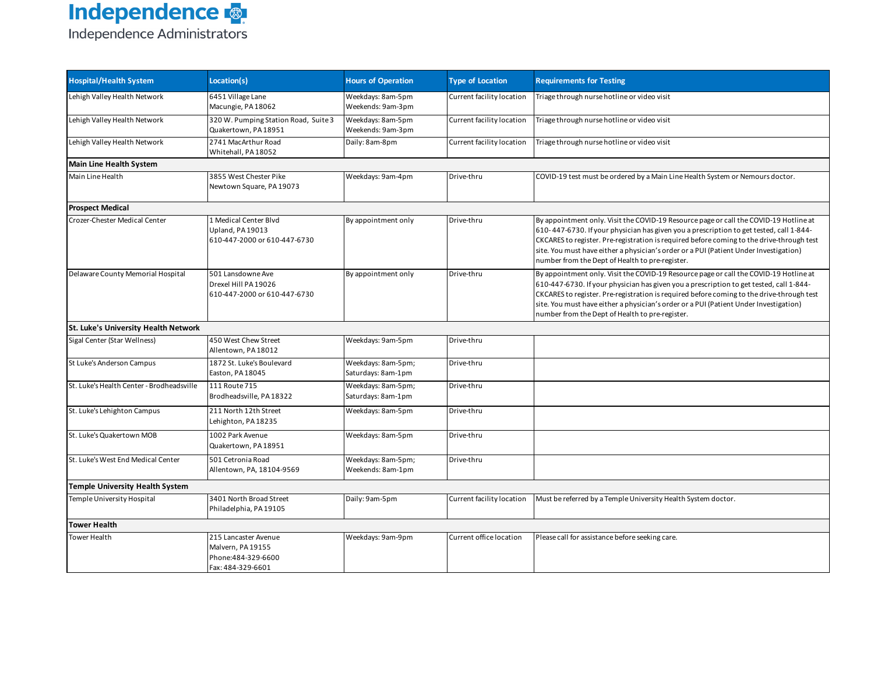| <b>Hospital/Health System</b>             | Location(s)                                                                           | <b>Hours of Operation</b>                | <b>Type of Location</b>   | <b>Requirements for Testing</b>                                                                                                                                                                                                                                                                                                                                                                                           |
|-------------------------------------------|---------------------------------------------------------------------------------------|------------------------------------------|---------------------------|---------------------------------------------------------------------------------------------------------------------------------------------------------------------------------------------------------------------------------------------------------------------------------------------------------------------------------------------------------------------------------------------------------------------------|
| Lehigh Valley Health Network              | 6451 Village Lane<br>Macungie, PA 18062                                               | Weekdays: 8am-5pm<br>Weekends: 9am-3pm   | Current facility location | Triage through nurse hotline or video visit                                                                                                                                                                                                                                                                                                                                                                               |
| Lehigh Valley Health Network              | 320 W. Pumping Station Road, Suite 3<br>Quakertown, PA18951                           | Weekdays: 8am-5pm<br>Weekends: 9am-3pm   | Current facility location | Triage through nurse hotline or video visit                                                                                                                                                                                                                                                                                                                                                                               |
| Lehigh Valley Health Network              | 2741 MacArthur Road<br>Whitehall, PA 18052                                            | Daily: 8am-8pm                           | Current facility location | Triage through nurse hotline or video visit                                                                                                                                                                                                                                                                                                                                                                               |
| <b>Main Line Health System</b>            |                                                                                       |                                          |                           |                                                                                                                                                                                                                                                                                                                                                                                                                           |
| Main Line Health                          | 3855 West Chester Pike<br>Newtown Square, PA 19073                                    | Weekdays: 9am-4pm                        | Drive-thru                | COVID-19 test must be ordered by a Main Line Health System or Nemours doctor.                                                                                                                                                                                                                                                                                                                                             |
| <b>Prospect Medical</b>                   |                                                                                       |                                          |                           |                                                                                                                                                                                                                                                                                                                                                                                                                           |
| Crozer-Chester Medical Center             | 1 Medical Center Blvd<br>Upland, PA 19013<br>610-447-2000 or 610-447-6730             | By appointment only                      | Drive-thru                | By appointment only. Visit the COVID-19 Resource page or call the COVID-19 Hotline at<br>610-447-6730. If your physician has given you a prescription to get tested, call 1-844-<br>CKCARES to register. Pre-registration is required before coming to the drive-through test<br>site. You must have either a physician's order or a PUI (Patient Under Investigation)<br>number from the Dept of Health to pre-register. |
| Delaware County Memorial Hospital         | 501 Lansdowne Ave<br>Drexel Hill PA 19026<br>610-447-2000 or 610-447-6730             | By appointment only                      | Drive-thru                | By appointment only. Visit the COVID-19 Resource page or call the COVID-19 Hotline at<br>610-447-6730. If your physician has given you a prescription to get tested, call 1-844-<br>CKCARES to register. Pre-registration is required before coming to the drive-through test<br>site. You must have either a physician's order or a PUI (Patient Under Investigation)<br>number from the Dept of Health to pre-register. |
| St. Luke's University Health Network      |                                                                                       |                                          |                           |                                                                                                                                                                                                                                                                                                                                                                                                                           |
| Sigal Center (Star Wellness)              | 450 West Chew Street<br>Allentown, PA 18012                                           | Weekdays: 9am-5pm                        | Drive-thru                |                                                                                                                                                                                                                                                                                                                                                                                                                           |
| St Luke's Anderson Campus                 | 1872 St. Luke's Boulevard<br>Easton, PA 18045                                         | Weekdays: 8am-5pm;<br>Saturdays: 8am-1pm | Drive-thru                |                                                                                                                                                                                                                                                                                                                                                                                                                           |
| St. Luke's Health Center - Brodheadsville | 111 Route 715<br>Brodheadsville. PA 18322                                             | Weekdays: 8am-5pm;<br>Saturdays: 8am-1pm | Drive-thru                |                                                                                                                                                                                                                                                                                                                                                                                                                           |
| St. Luke's Lehighton Campus               | 211 North 12th Street<br>Lehighton, PA 18235                                          | Weekdays: 8am-5pm                        | Drive-thru                |                                                                                                                                                                                                                                                                                                                                                                                                                           |
| St. Luke's Quakertown MOB                 | 1002 Park Avenue<br>Quakertown, PA 18951                                              | Weekdays: 8am-5pm                        | Drive-thru                |                                                                                                                                                                                                                                                                                                                                                                                                                           |
| St. Luke's West End Medical Center        | 501 Cetronia Road<br>Allentown, PA, 18104-9569                                        | Weekdays: 8am-5pm;<br>Weekends: 8am-1pm  | Drive-thru                |                                                                                                                                                                                                                                                                                                                                                                                                                           |
| <b>Temple University Health System</b>    |                                                                                       |                                          |                           |                                                                                                                                                                                                                                                                                                                                                                                                                           |
| Temple University Hospital                | 3401 North Broad Street<br>Philadelphia, PA 19105                                     | Daily: 9am-5pm                           | Current facility location | Must be referred by a Temple University Health System doctor.                                                                                                                                                                                                                                                                                                                                                             |
| <b>Tower Health</b>                       |                                                                                       |                                          |                           |                                                                                                                                                                                                                                                                                                                                                                                                                           |
| <b>Tower Health</b>                       | 215 Lancaster Avenue<br>Malvern, PA 19155<br>Phone: 484-329-6600<br>Fax: 484-329-6601 | Weekdays: 9am-9pm                        | Current office location   | Please call for assistance before seeking care.                                                                                                                                                                                                                                                                                                                                                                           |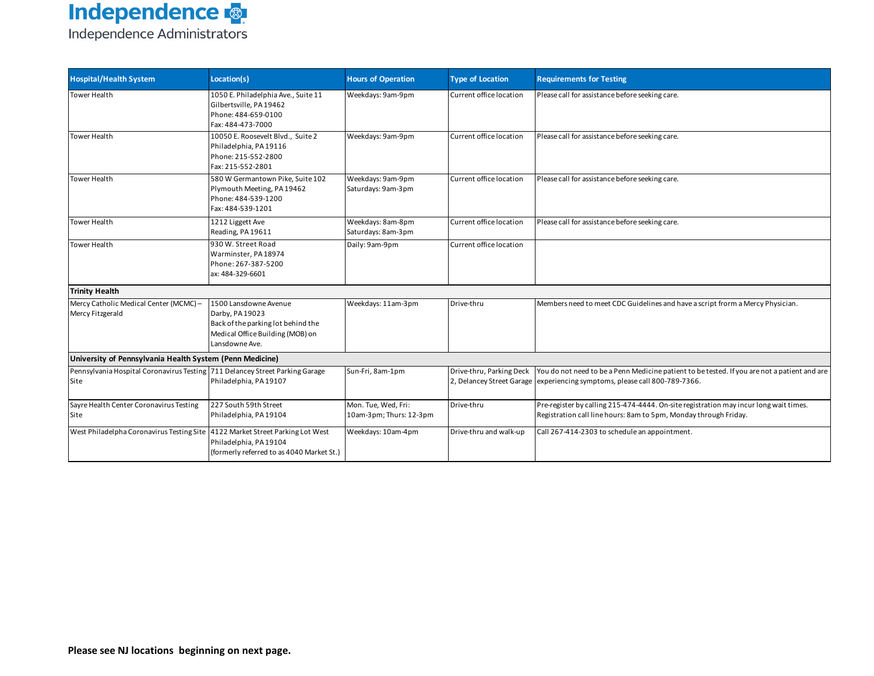| <b>Hospital/Health System</b>                                                        | Location(s)                                                                                                                          | <b>Hours of Operation</b>                      | <b>Type of Location</b> | <b>Requirements for Testing</b>                                                                                                                                                                     |
|--------------------------------------------------------------------------------------|--------------------------------------------------------------------------------------------------------------------------------------|------------------------------------------------|-------------------------|-----------------------------------------------------------------------------------------------------------------------------------------------------------------------------------------------------|
| <b>Tower Health</b>                                                                  | 1050 E. Philadelphia Ave., Suite 11<br>Gilbertsville, PA 19462<br>Phone: 484-659-0100<br>Fax: 484-473-7000                           | Weekdays: 9am-9pm                              | Current office location | Please call for assistance before seeking care.                                                                                                                                                     |
| <b>Tower Health</b>                                                                  | 10050 E. Roosevelt Blvd., Suite 2<br>Philadelphia, PA 19116<br>Phone: 215-552-2800<br>Fax: 215-552-2801                              | Weekdays: 9am-9pm                              | Current office location | Please call for assistance before seeking care.                                                                                                                                                     |
| <b>Tower Health</b>                                                                  | 580 W Germantown Pike, Suite 102<br>Plymouth Meeting, PA 19462<br>Phone: 484-539-1200<br>Fax: 484-539-1201                           | Weekdays: 9am-9pm<br>Saturdays: 9am-3pm        | Current office location | Please call for assistance before seeking care.                                                                                                                                                     |
| <b>Tower Health</b>                                                                  | 1212 Liggett Ave<br>Reading, PA 19611                                                                                                | Weekdays: 8am-8pm<br>Saturdays: 8am-3pm        | Current office location | Please call for assistance before seeking care.                                                                                                                                                     |
| <b>Tower Health</b>                                                                  | 930 W. Street Road<br>Warminster, PA 18974<br>Phone: 267-387-5200<br>ax: 484-329-6601                                                | Daily: 9am-9pm                                 | Current office location |                                                                                                                                                                                                     |
| <b>Trinity Health</b>                                                                |                                                                                                                                      |                                                |                         |                                                                                                                                                                                                     |
| Mercy Catholic Medical Center (MCMC)-<br>Mercy Fitzgerald                            | 1500 Lansdowne Avenue<br>Darby, PA 19023<br>Back of the parking lot behind the<br>Medical Office Building (MOB) on<br>Lansdowne Ave. | Weekdays: 11am-3pm                             | Drive-thru              | Members need to meet CDC Guidelines and have a script frorm a Mercy Physician.                                                                                                                      |
| University of Pennsylvania Health System (Penn Medicine)                             |                                                                                                                                      |                                                |                         |                                                                                                                                                                                                     |
| Pennsylvania Hospital Coronavirus Testing 711 Delancey Street Parking Garage<br>Site | Philadelphia, PA 19107                                                                                                               | Sun-Fri, 8am-1pm                               |                         | Drive-thru, Parking Deck You do not need to be a Penn Medicine patient to be tested. If you are not a patient and are<br>2, Delancey Street Garage experiencing symptoms, please call 800-789-7366. |
| Sayre Health Center Coronavirus Testing<br>Site                                      | 227 South 59th Street<br>Philadelphia, PA 19104                                                                                      | Mon. Tue, Wed, Fri:<br>10am-3pm; Thurs: 12-3pm | Drive-thru              | Pre-register by calling 215-474-4444. On-site registration may incur long wait times.<br>Registration call line hours: 8am to 5pm, Monday through Friday.                                           |
| West Philadelpha Coronavirus Testing Site 4122 Market Street Parking Lot West        | Philadelphia, PA 19104<br>(formerly referred to as 4040 Market St.)                                                                  | Weekdays: 10am-4pm                             | Drive-thru and walk-up  | Call 267-414-2303 to schedule an appointment.                                                                                                                                                       |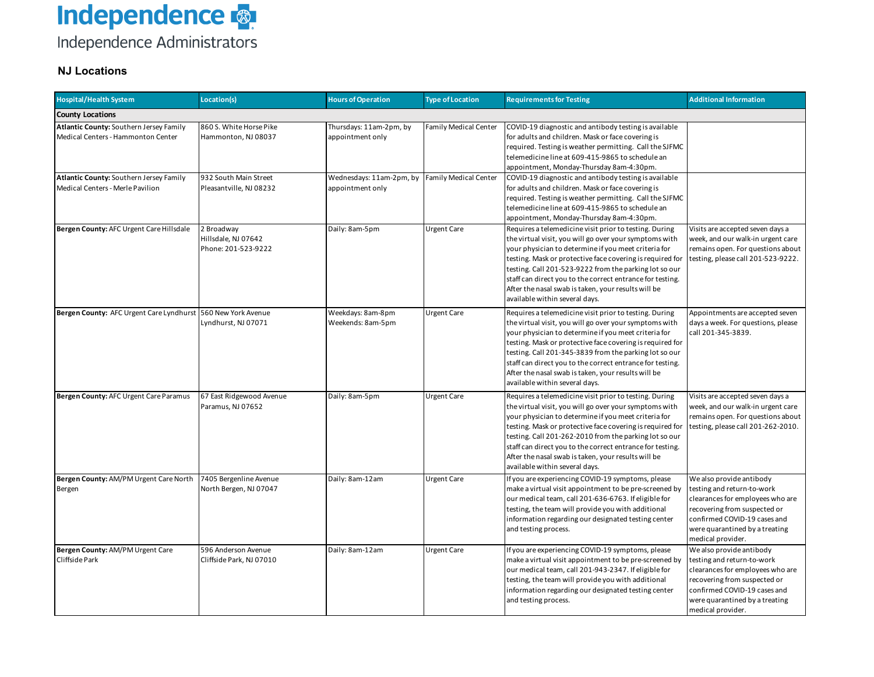#### Independence Administrators

#### **NJ Locations**

| <b>Hospital/Health System</b>                                                 | Location(s)                                              | <b>Hours of Operation</b>                    | <b>Type of Location</b>      | <b>Requirements for Testing</b>                                                                                                                                                                                                                                                                                                                                                                                                                       | <b>Additional Information</b>                                                                                                                                                                                     |
|-------------------------------------------------------------------------------|----------------------------------------------------------|----------------------------------------------|------------------------------|-------------------------------------------------------------------------------------------------------------------------------------------------------------------------------------------------------------------------------------------------------------------------------------------------------------------------------------------------------------------------------------------------------------------------------------------------------|-------------------------------------------------------------------------------------------------------------------------------------------------------------------------------------------------------------------|
| <b>County Locations</b>                                                       |                                                          |                                              |                              |                                                                                                                                                                                                                                                                                                                                                                                                                                                       |                                                                                                                                                                                                                   |
| Atlantic County: Southern Jersey Family<br>Medical Centers - Hammonton Center | 860 S. White Horse Pike<br>Hammonton, NJ 08037           | Thursdays: 11am-2pm, by<br>appointment only  | <b>Family Medical Center</b> | COVID-19 diagnostic and antibody testing is available<br>for adults and children. Mask or face covering is<br>required. Testing is weather permitting. Call the SJFMC<br>telemedicine line at 609-415-9865 to schedule an<br>appointment, Monday-Thursday 8am-4:30pm.                                                                                                                                                                                 |                                                                                                                                                                                                                   |
| Atlantic County: Southern Jersey Family<br>Medical Centers - Merle Pavilion   | 932 South Main Street<br>Pleasantville, NJ 08232         | Wednesdays: 11am-2pm, by<br>appointment only | <b>Family Medical Center</b> | COVID-19 diagnostic and antibody testing is available<br>for adults and children. Mask or face covering is<br>required. Testing is weather permitting. Call the SJFMC<br>telemedicine line at 609-415-9865 to schedule an<br>appointment, Monday-Thursday 8am-4:30pm.                                                                                                                                                                                 |                                                                                                                                                                                                                   |
| Bergen County: AFC Urgent Care Hillsdale                                      | 2 Broadway<br>Hillsdale, NJ 07642<br>Phone: 201-523-9222 | Daily: 8am-5pm                               | <b>Urgent Care</b>           | Requires a telemedicine visit prior to testing. During<br>the virtual visit, you will go over your symptoms with<br>your physician to determine if you meet criteria for<br>testing. Mask or protective face covering is required for<br>testing. Call 201-523-9222 from the parking lot so our<br>staff can direct you to the correct entrance for testing.<br>After the nasal swab is taken, your results will be<br>available within several days. | Visits are accepted seven days a<br>week, and our walk-in urgent care<br>remains open. For questions about<br>testing, please call 201-523-9222.                                                                  |
| Bergen County: AFC Urgent Care Lyndhurst                                      | 560 New York Avenue<br>Lyndhurst, NJ 07071               | Weekdays: 8am-8pm<br>Weekends: 8am-5pm       | <b>Urgent Care</b>           | Requires a telemedicine visit prior to testing. During<br>the virtual visit, you will go over your symptoms with<br>your physician to determine if you meet criteria for<br>testing. Mask or protective face covering is required for<br>testing. Call 201-345-3839 from the parking lot so our<br>staff can direct you to the correct entrance for testing.<br>After the nasal swab is taken, your results will be<br>available within several days. | Appointments are accepted seven<br>days a week. For questions, please<br>call 201-345-3839.                                                                                                                       |
| Bergen County: AFC Urgent Care Paramus                                        | 67 East Ridgewood Avenue<br>Paramus, NJ 07652            | Daily: 8am-5pm                               | <b>Urgent Care</b>           | Requires a telemedicine visit prior to testing. During<br>the virtual visit, you will go over your symptoms with<br>your physician to determine if you meet criteria for<br>testing. Mask or protective face covering is required for<br>testing. Call 201-262-2010 from the parking lot so our<br>staff can direct you to the correct entrance for testing.<br>After the nasal swab is taken, your results will be<br>available within several days. | Visits are accepted seven days a<br>week, and our walk-in urgent care<br>remains open. For questions about<br>testing, please call 201-262-2010.                                                                  |
| Bergen County: AM/PM Urgent Care North<br>Bergen                              | 7405 Bergenline Avenue<br>North Bergen, NJ 07047         | Daily: 8am-12am                              | <b>Urgent Care</b>           | If you are experiencing COVID-19 symptoms, please<br>make a virtual visit appointment to be pre-screened by<br>our medical team, call 201-636-6763. If eligible for<br>testing, the team will provide you with additional<br>information regarding our designated testing center<br>and testing process.                                                                                                                                              | We also provide antibody<br>testing and return-to-work<br>clearances for employees who are<br>recovering from suspected or<br>confirmed COVID-19 cases and<br>were quarantined by a treating<br>medical provider. |
| Bergen County: AM/PM Urgent Care<br>Cliffside Park                            | 596 Anderson Avenue<br>Cliffside Park, NJ 07010          | Daily: 8am-12am                              | <b>Urgent Care</b>           | If you are experiencing COVID-19 symptoms, please<br>make a virtual visit appointment to be pre-screened by<br>our medical team, call 201-943-2347. If eligible for<br>testing, the team will provide you with additional<br>information regarding our designated testing center<br>and testing process.                                                                                                                                              | We also provide antibody<br>testing and return-to-work<br>clearances for employees who are<br>recovering from suspected or<br>confirmed COVID-19 cases and<br>were quarantined by a treating<br>medical provider. |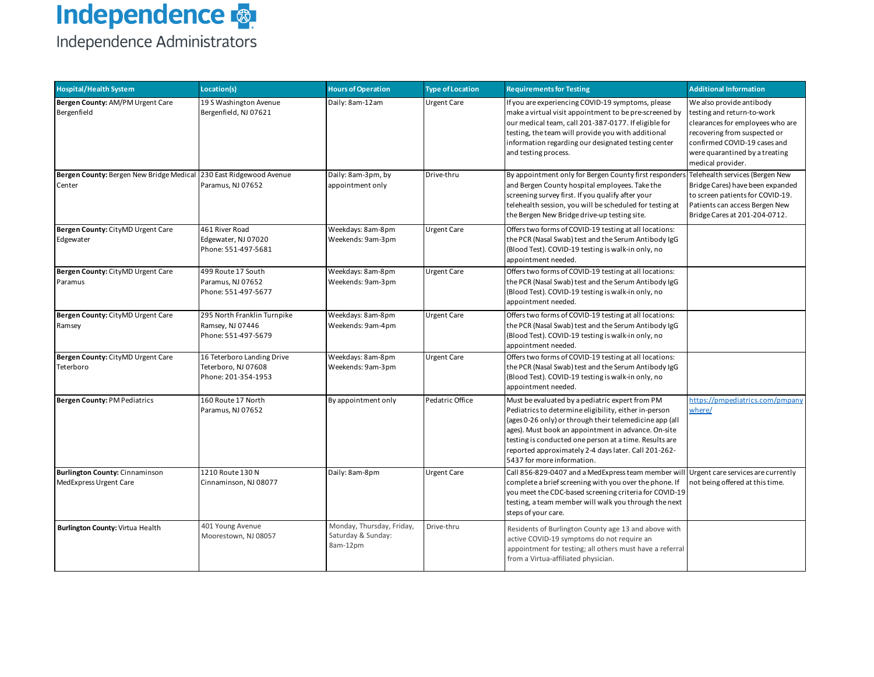| <b>Hospital/Health System</b>                                                | Location(s)                                                              | <b>Hours of Operation</b>                                   | <b>Type of Location</b> | <b>Requirements for Testing</b>                                                                                                                                                                                                                                                                                                                                            | <b>Additional Information</b>                                                                                                                                                                                     |
|------------------------------------------------------------------------------|--------------------------------------------------------------------------|-------------------------------------------------------------|-------------------------|----------------------------------------------------------------------------------------------------------------------------------------------------------------------------------------------------------------------------------------------------------------------------------------------------------------------------------------------------------------------------|-------------------------------------------------------------------------------------------------------------------------------------------------------------------------------------------------------------------|
| Bergen County: AM/PM Urgent Care<br>Bergenfield                              | 19 S Washington Avenue<br>Bergenfield, NJ 07621                          | Daily: 8am-12am                                             | <b>Urgent Care</b>      | If you are experiencing COVID-19 symptoms, please<br>make a virtual visit appointment to be pre-screened by<br>our medical team, call 201-387-0177. If eligible for<br>testing, the team will provide you with additional<br>information regarding our designated testing center<br>and testing process.                                                                   | We also provide antibody<br>testing and return-to-work<br>clearances for employees who are<br>recovering from suspected or<br>confirmed COVID-19 cases and<br>were quarantined by a treating<br>medical provider. |
| Bergen County: Bergen New Bridge Medical 230 East Ridgewood Avenue<br>Center | Paramus, NJ 07652                                                        | Daily: 8am-3pm, by<br>appointment only                      | Drive-thru              | By appointment only for Bergen County first responders Telehealth services (Bergen New<br>and Bergen County hospital employees. Take the<br>screening survey first. If you qualify after your<br>telehealth session, you will be scheduled for testing at<br>the Bergen New Bridge drive-up testing site.                                                                  | Bridge Cares) have been expanded<br>to screen patients for COVID-19.<br>Patients can access Bergen New<br>Bridge Cares at 201-204-0712.                                                                           |
| Bergen County: CityMD Urgent Care<br>Edgewater                               | 461 River Road<br>Edgewater, NJ 07020<br>Phone: 551-497-5681             | Weekdays: 8am-8pm<br>Weekends: 9am-3pm                      | <b>Urgent Care</b>      | Offers two forms of COVID-19 testing at all locations:<br>the PCR (Nasal Swab) test and the Serum Antibody IgG<br>(Blood Test). COVID-19 testing is walk-in only, no<br>appointment needed.                                                                                                                                                                                |                                                                                                                                                                                                                   |
| Bergen County: CityMD Urgent Care<br>Paramus                                 | 499 Route 17 South<br>Paramus, NJ 07652<br>Phone: 551-497-5677           | Weekdays: 8am-8pm<br>Weekends: 9am-3pm                      | <b>Urgent Care</b>      | Offers two forms of COVID-19 testing at all locations:<br>the PCR (Nasal Swab) test and the Serum Antibody IgG<br>(Blood Test). COVID-19 testing is walk-in only, no<br>appointment needed.                                                                                                                                                                                |                                                                                                                                                                                                                   |
| Bergen County: CityMD Urgent Care<br>Ramsey                                  | 295 North Franklin Turnpike<br>Ramsey, NJ 07446<br>Phone: 551-497-5679   | Weekdays: 8am-8pm<br>Weekends: 9am-4pm                      | Urgent Care             | Offers two forms of COVID-19 testing at all locations:<br>the PCR (Nasal Swab) test and the Serum Antibody IgG<br>(Blood Test). COVID-19 testing is walk-in only, no<br>appointment needed.                                                                                                                                                                                |                                                                                                                                                                                                                   |
| Bergen County: CityMD Urgent Care<br>Teterboro                               | 16 Teterboro Landing Drive<br>Teterboro, NJ 07608<br>Phone: 201-354-1953 | Weekdays: 8am-8pm<br>Weekends: 9am-3pm                      | <b>Urgent Care</b>      | Offers two forms of COVID-19 testing at all locations:<br>the PCR (Nasal Swab) test and the Serum Antibody IgG<br>(Blood Test). COVID-19 testing is walk-in only, no<br>appointment needed.                                                                                                                                                                                |                                                                                                                                                                                                                   |
| Bergen County: PM Pediatrics                                                 | 160 Route 17 North<br>Paramus, NJ 07652                                  | By appointment only                                         | Pedatric Office         | Must be evaluated by a pediatric expert from PM<br>Pediatrics to determine eligibility, either in-person<br>(ages 0-26 only) or through their telemedicine app (all<br>ages). Must book an appointment in advance. On-site<br>testing is conducted one person at a time. Results are<br>reported approximately 2-4 days later. Call 201-262-<br>5437 for more information. | nttps://pmpediatrics.com/pmpany<br>where/                                                                                                                                                                         |
| Burlington County: Cinnaminson<br>Med Express Urgent Care                    | 1210 Route 130 N<br>Cinnaminson, NJ 08077                                | Daily: 8am-8pm                                              | <b>Urgent Care</b>      | Call 856-829-0407 and a MedExpress team member will<br>complete a brief screening with you over the phone. If<br>you meet the CDC-based screening criteria for COVID-19<br>testing, a team member will walk you through the next<br>steps of your care.                                                                                                                    | Urgent care services are currently<br>not being offered at this time.                                                                                                                                             |
| <b>Burlington County: Virtua Health</b>                                      | 401 Young Avenue<br>Moorestown, NJ 08057                                 | Monday, Thursday, Friday,<br>Saturday & Sunday:<br>8am-12pm | Drive-thru              | Residents of Burlington County age 13 and above with<br>active COVID-19 symptoms do not require an<br>appointment for testing; all others must have a referral<br>from a Virtua-affiliated physician.                                                                                                                                                                      |                                                                                                                                                                                                                   |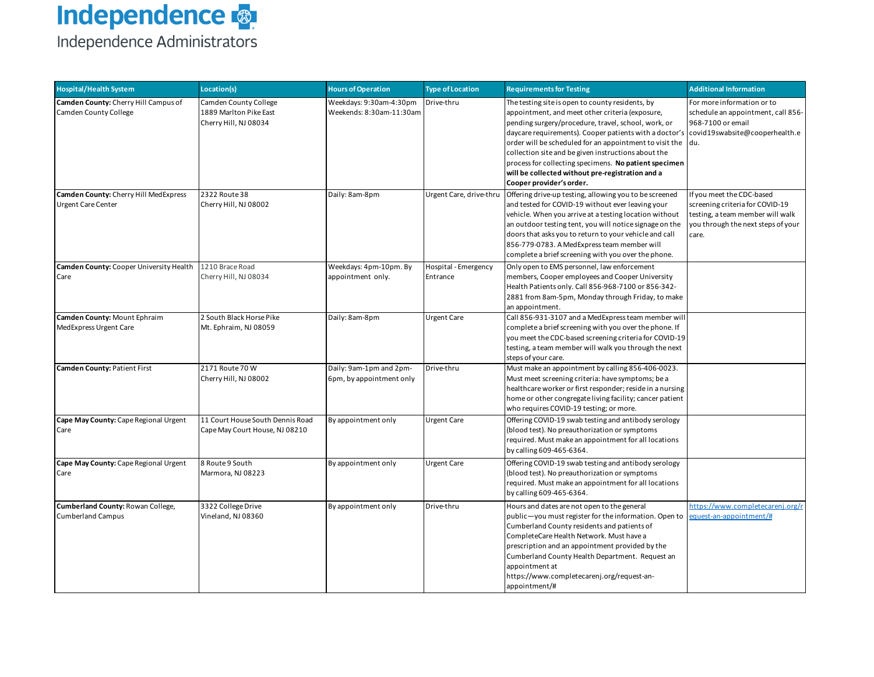| <b>Hospital/Health System</b>                                      | Location(s)                                                              | <b>Hours of Operation</b>                           | <b>Type of Location</b>          | <b>Requirements for Testing</b>                                                                                                                                                                                                                                                                                                                                                                                                                                                                                    | <b>Additional Information</b>                                                                                                                   |
|--------------------------------------------------------------------|--------------------------------------------------------------------------|-----------------------------------------------------|----------------------------------|--------------------------------------------------------------------------------------------------------------------------------------------------------------------------------------------------------------------------------------------------------------------------------------------------------------------------------------------------------------------------------------------------------------------------------------------------------------------------------------------------------------------|-------------------------------------------------------------------------------------------------------------------------------------------------|
| Camden County: Cherry Hill Campus of<br>Camden County College      | Camden County College<br>1889 Marlton Pike East<br>Cherry Hill, NJ 08034 | Weekdays: 9:30am-4:30pm<br>Weekends: 8:30am-11:30am | Drive-thru                       | The testing site is open to county residents, by<br>appointment, and meet other criteria (exposure,<br>pending surgery/procedure, travel, school, work, or<br>daycare requirements). Cooper patients with a doctor's covid19swabsite@cooperhealth.e<br>order will be scheduled for an appointment to visit the du.<br>collection site and be given instructions about the<br>process for collecting specimens. No patient specimen<br>will be collected without pre-registration and a<br>Cooper provider's order. | For more information or to<br>schedule an appointment, call 856-<br>968-7100 or email                                                           |
| Camden County: Cherry Hill MedExpress<br><b>Urgent Care Center</b> | 2322 Route 38<br>Cherry Hill, NJ 08002                                   | Daily: 8am-8pm                                      | Urgent Care, drive-thru          | Offering drive-up testing, allowing you to be screened<br>and tested for COVID-19 without ever leaving your<br>vehicle. When you arrive at a testing location without<br>an outdoor testing tent, you will notice signage on the<br>doors that asks you to return to your vehicle and call<br>856-779-0783. A MedExpress team member will<br>complete a brief screening with you over the phone.                                                                                                                   | If you meet the CDC-based<br>screening criteria for COVID-19<br>testing, a team member will walk<br>you through the next steps of your<br>care. |
| Camden County: Cooper University Health<br>Care                    | 1210 Brace Road<br>Cherry Hill, NJ 08034                                 | Weekdays: 4pm-10pm. By<br>appointment only.         | Hospital - Emergency<br>Entrance | Only open to EMS personnel, law enforcement<br>members, Cooper employees and Cooper University<br>Health Patients only. Call 856-968-7100 or 856-342-<br>2881 from 8am-5pm, Monday through Friday, to make<br>an appointment.                                                                                                                                                                                                                                                                                      |                                                                                                                                                 |
| Camden County: Mount Ephraim<br>MedExpress Urgent Care             | 2 South Black Horse Pike<br>Mt. Ephraim, NJ 08059                        | Daily: 8am-8pm                                      | <b>Urgent Care</b>               | Call 856-931-3107 and a MedExpress team member will<br>complete a brief screening with you over the phone. If<br>you meet the CDC-based screening criteria for COVID-19<br>testing, a team member will walk you through the next<br>steps of your care.                                                                                                                                                                                                                                                            |                                                                                                                                                 |
| Camden County: Patient First                                       | 2171 Route 70 W<br>Cherry Hill, NJ 08002                                 | Daily: 9am-1pm and 2pm-<br>6pm, by appointment only | Drive-thru                       | Must make an appointment by calling 856-406-0023.<br>Must meet screening criteria: have symptoms; be a<br>healthcare worker or first responder; reside in a nursing<br>home or other congregate living facility; cancer patient<br>who requires COVID-19 testing; or more.                                                                                                                                                                                                                                         |                                                                                                                                                 |
| Cape May County: Cape Regional Urgent<br>Care                      | 11 Court House South Dennis Road<br>Cape May Court House, NJ 08210       | By appointment only                                 | <b>Urgent Care</b>               | Offering COVID-19 swab testing and antibody serology<br>(blood test). No preauthorization or symptoms<br>required. Must make an appointment for all locations<br>by calling 609-465-6364.                                                                                                                                                                                                                                                                                                                          |                                                                                                                                                 |
| Cape May County: Cape Regional Urgent<br>Care                      | 8 Route 9 South<br>Marmora, NJ 08223                                     | By appointment only                                 | <b>Urgent Care</b>               | Offering COVID-19 swab testing and antibody serology<br>(blood test). No preauthorization or symptoms<br>required. Must make an appointment for all locations<br>by calling 609-465-6364.                                                                                                                                                                                                                                                                                                                          |                                                                                                                                                 |
| Cumberland County: Rowan College,<br><b>Cumberland Campus</b>      | 3322 College Drive<br>Vineland, NJ 08360                                 | By appointment only                                 | Drive-thru                       | Hours and dates are not open to the general<br>public-you must register for the information. Open to<br>Cumberland County residents and patients of<br>CompleteCare Health Network. Must have a<br>prescription and an appointment provided by the<br>Cumberland County Health Department. Request an<br>appointment at<br>https://www.completecarenj.org/request-an-<br>appointment/#                                                                                                                             | https://www.completecarenj.org/r<br>equest-an-appointment/#                                                                                     |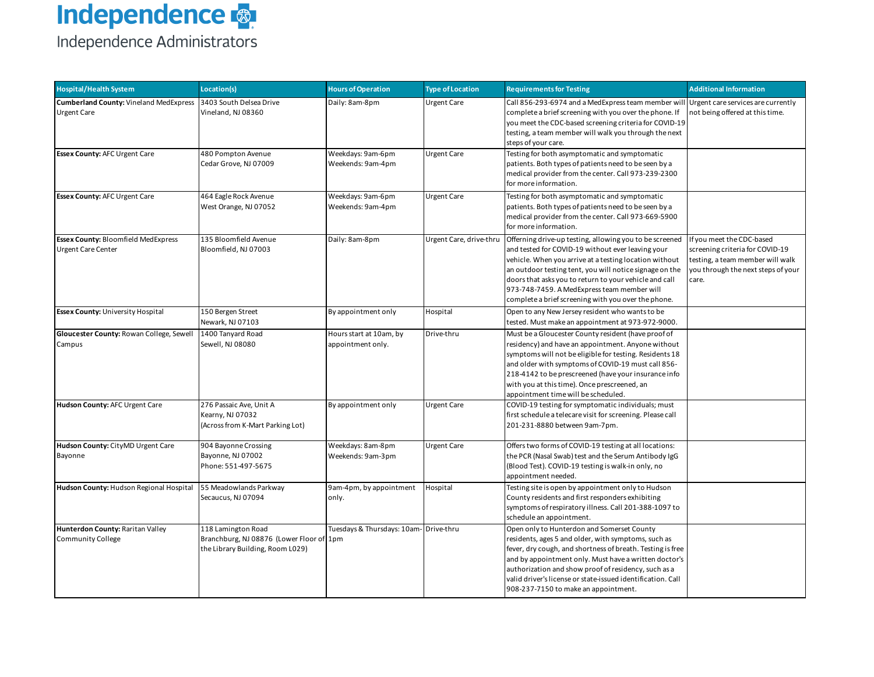# **Independence**  $\frac{1}{2}$

| <b>Hospital/Health System</b>                                           | Location(s)                                                                                        | <b>Hours of Operation</b>                    | <b>Type of Location</b> | <b>Requirements for Testing</b>                                                                                                                                                                                                                                                                                                                                                                   | <b>Additional Information</b>                                                                                                                   |
|-------------------------------------------------------------------------|----------------------------------------------------------------------------------------------------|----------------------------------------------|-------------------------|---------------------------------------------------------------------------------------------------------------------------------------------------------------------------------------------------------------------------------------------------------------------------------------------------------------------------------------------------------------------------------------------------|-------------------------------------------------------------------------------------------------------------------------------------------------|
| <b>Cumberland County: Vineland MedExpress</b><br><b>Urgent Care</b>     | 3403 South Delsea Drive<br>Vineland, NJ 08360                                                      | Daily: 8am-8pm                               | <b>Urgent Care</b>      | Call 856-293-6974 and a MedExpress team member will Urgent care services are currently<br>complete a brief screening with you over the phone. If<br>you meet the CDC-based screening criteria for COVID-19<br>testing, a team member will walk you through the next<br>steps of your care.                                                                                                        | not being offered at this time.                                                                                                                 |
| <b>Essex County: AFC Urgent Care</b>                                    | 480 Pompton Avenue<br>Cedar Grove, NJ 07009                                                        | Weekdays: 9am-6pm<br>Weekends: 9am-4pm       | <b>Urgent Care</b>      | Testing for both asymptomatic and symptomatic<br>patients. Both types of patients need to be seen by a<br>medical provider from the center. Call 973-239-2300<br>for more information.                                                                                                                                                                                                            |                                                                                                                                                 |
| <b>Essex County: AFC Urgent Care</b>                                    | 464 Eagle Rock Avenue<br>West Orange, NJ 07052                                                     | Weekdays: 9am-6pm<br>Weekends: 9am-4pm       | <b>Urgent Care</b>      | Testing for both asymptomatic and symptomatic<br>patients. Both types of patients need to be seen by a<br>medical provider from the center. Call 973-669-5900<br>for more information.                                                                                                                                                                                                            |                                                                                                                                                 |
| <b>Essex County: Bloomfield MedExpress</b><br><b>Urgent Care Center</b> | 135 Bloomfield Avenue<br>Bloomfield, NJ 07003                                                      | Daily: 8am-8pm                               | Urgent Care, drive-thru | Offerning drive-up testing, allowing you to be screened<br>and tested for COVID-19 without ever leaving your<br>vehicle. When you arrive at a testing location without<br>an outdoor testing tent, you will notice signage on the<br>doors that asks you to return to your vehicle and call<br>973-748-7459. A MedExpress team member will<br>complete a brief screening with you over the phone. | If you meet the CDC-based<br>screening criteria for COVID-19<br>testing, a team member will walk<br>you through the next steps of your<br>care. |
| <b>Essex County: University Hospital</b>                                | 150 Bergen Street<br>Newark, NJ 07103                                                              | By appointment only                          | Hospital                | Open to any New Jersey resident who wants to be<br>tested. Must make an appointment at 973-972-9000.                                                                                                                                                                                                                                                                                              |                                                                                                                                                 |
| Gloucester County: Rowan College, Sewell<br>Campus                      | 1400 Tanyard Road<br>Sewell, NJ 08080                                                              | Hours start at 10am, by<br>appointment only. | Drive-thru              | Must be a Gloucester County resident (have proof of<br>residency) and have an appointment. Anyone without<br>symptoms will not be eligible for testing. Residents 18<br>and older with symptoms of COVID-19 must call 856-<br>218-4142 to be prescreened (have your insurance info<br>with you at this time). Once prescreened, an<br>appointment time will be scheduled.                         |                                                                                                                                                 |
| Hudson County: AFC Urgent Care                                          | 276 Passaic Ave, Unit A<br>Kearny, NJ 07032<br>(Across from K-Mart Parking Lot)                    | By appointment only                          | <b>Urgent Care</b>      | COVID-19 testing for symptomatic individuals; must<br>first schedule a telecare visit for screening. Please call<br>201-231-8880 between 9am-7pm.                                                                                                                                                                                                                                                 |                                                                                                                                                 |
| Hudson County: CityMD Urgent Care<br>Bayonne                            | 904 Bayonne Crossing<br>Bayonne, NJ 07002<br>Phone: 551-497-5675                                   | Weekdays: 8am-8pm<br>Weekends: 9am-3pm       | <b>Urgent Care</b>      | Offers two forms of COVID-19 testing at all locations:<br>the PCR (Nasal Swab) test and the Serum Antibody IgG<br>(Blood Test). COVID-19 testing is walk-in only, no<br>appointment needed.                                                                                                                                                                                                       |                                                                                                                                                 |
| Hudson County: Hudson Regional Hospital                                 | 55 Meadowlands Parkway<br>Secaucus, NJ 07094                                                       | 9am-4pm, by appointment<br>only.             | Hospital                | Testing site is open by appointment only to Hudson<br>County residents and first responders exhibiting<br>symptoms of respiratory illness. Call 201-388-1097 to<br>schedule an appointment.                                                                                                                                                                                                       |                                                                                                                                                 |
| Hunterdon County: Raritan Valley<br><b>Community College</b>            | 118 Lamington Road<br>Branchburg, NJ 08876 (Lower Floor of 1pm<br>the Library Building, Room L029) | Tuesdays & Thursdays: 10am-Drive-thru        |                         | Open only to Hunterdon and Somerset County<br>residents, ages 5 and older, with symptoms, such as<br>fever, dry cough, and shortness of breath. Testing is free<br>and by appointment only. Must have a written doctor's<br>authorization and show proof of residency, such as a<br>valid driver's license or state-issued identification. Call<br>908-237-7150 to make an appointment.           |                                                                                                                                                 |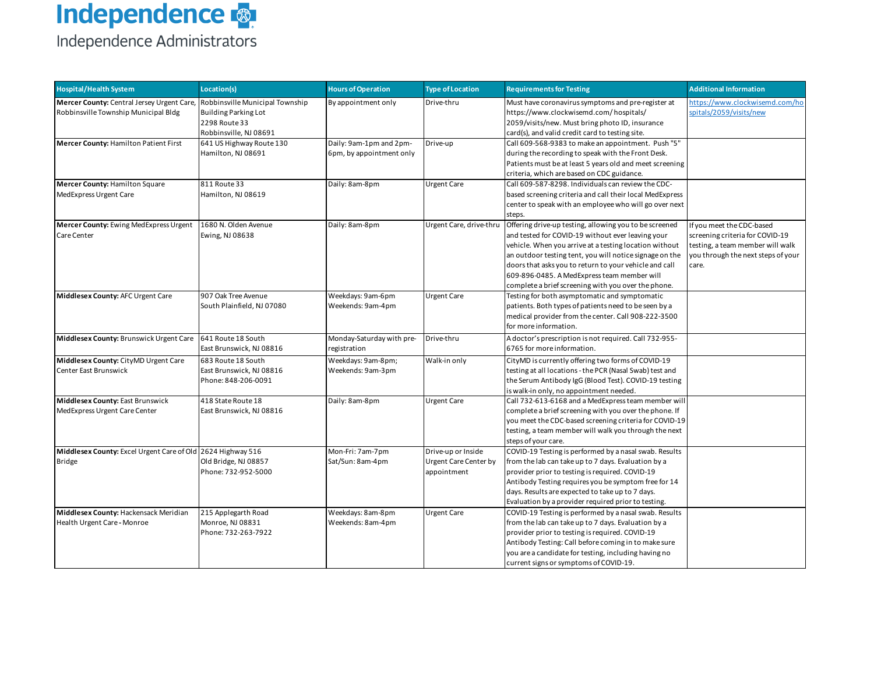### **Independence <mark>** $\frac{1}{2}$ **</mark>** Independence Administrators

| <b>Hospital/Health System</b>                                                      | Location(s)                                                                                        | <b>Hours of Operation</b>                           | <b>Type of Location</b>                                           | <b>Requirements for Testing</b>                                                                                                                                                                                                                                                                                                                                                                  | <b>Additional Information</b>                                                                                                                   |
|------------------------------------------------------------------------------------|----------------------------------------------------------------------------------------------------|-----------------------------------------------------|-------------------------------------------------------------------|--------------------------------------------------------------------------------------------------------------------------------------------------------------------------------------------------------------------------------------------------------------------------------------------------------------------------------------------------------------------------------------------------|-------------------------------------------------------------------------------------------------------------------------------------------------|
| Mercer County: Central Jersey Urgent Care,<br>Robbinsville Township Municipal Bldg | Robbinsville Municipal Township<br>Building Parking Lot<br>2298 Route 33<br>Robbinsville, NJ 08691 | By appointment only                                 | Drive-thru                                                        | Must have coronavirus symptoms and pre-register at<br>https://www.clockwisemd.com/hospitals/<br>2059/visits/new. Must bring photo ID, insurance<br>card(s), and valid credit card to testing site.                                                                                                                                                                                               | https://www.clockwisemd.com/ho<br>spitals/2059/visits/new                                                                                       |
| Mercer County: Hamilton Patient First                                              | 641 US Highway Route 130<br>Hamilton, NJ 08691                                                     | Daily: 9am-1pm and 2pm-<br>6pm, by appointment only | Drive-up                                                          | Call 609-568-9383 to make an appointment. Push "5"<br>during the recording to speak with the Front Desk.<br>Patients must be at least 5 years old and meet screening<br>criteria, which are based on CDC guidance.                                                                                                                                                                               |                                                                                                                                                 |
| Mercer County: Hamilton Square<br>MedExpress Urgent Care                           | 811 Route 33<br>Hamilton, NJ 08619                                                                 | Daily: 8am-8pm                                      | <b>Urgent Care</b>                                                | Call 609-587-8298. Individuals can review the CDC-<br>based screening criteria and call their local MedExpress<br>center to speak with an employee who will go over next<br>steps.                                                                                                                                                                                                               |                                                                                                                                                 |
| Mercer County: Ewing MedExpress Urgent<br>Care Center                              | 1680 N. Olden Avenue<br>Ewing, NJ 08638                                                            | Daily: 8am-8pm                                      | Urgent Care, drive-thru                                           | Offering drive-up testing, allowing you to be screened<br>and tested for COVID-19 without ever leaving your<br>vehicle. When you arrive at a testing location without<br>an outdoor testing tent, you will notice signage on the<br>doors that asks you to return to your vehicle and call<br>609-896-0485. A MedExpress team member will<br>complete a brief screening with you over the phone. | If you meet the CDC-based<br>screening criteria for COVID-19<br>testing, a team member will walk<br>you through the next steps of your<br>care. |
| Middlesex County: AFC Urgent Care                                                  | 907 Oak Tree Avenue<br>South Plainfield, NJ 07080                                                  | Weekdays: 9am-6pm<br>Weekends: 9am-4pm              | <b>Urgent Care</b>                                                | Testing for both asymptomatic and symptomatic<br>patients. Both types of patients need to be seen by a<br>medical provider from the center. Call 908-222-3500<br>for more information.                                                                                                                                                                                                           |                                                                                                                                                 |
| Middlesex County: Brunswick Urgent Care                                            | 641 Route 18 South<br>East Brunswick, NJ 08816                                                     | Monday-Saturday with pre-<br>registration           | Drive-thru                                                        | A doctor's prescription is not required. Call 732-955-<br>6765 for more information.                                                                                                                                                                                                                                                                                                             |                                                                                                                                                 |
| Middlesex County: CityMD Urgent Care<br>Center East Brunswick                      | 683 Route 18 South<br>East Brunswick, NJ 08816<br>Phone: 848-206-0091                              | Weekdays: 9am-8pm;<br>Weekends: 9am-3pm             | Walk-in only                                                      | CityMD is currently offering two forms of COVID-19<br>testing at all locations - the PCR (Nasal Swab) test and<br>the Serum Antibody IgG (Blood Test). COVID-19 testing<br>is walk-in only, no appointment needed.                                                                                                                                                                               |                                                                                                                                                 |
| Middlesex County: East Brunswick<br>MedExpress Urgent Care Center                  | 418 State Route 18<br>East Brunswick, NJ 08816                                                     | Daily: 8am-8pm                                      | <b>Urgent Care</b>                                                | Call 732-613-6168 and a MedExpress team member will<br>complete a brief screening with you over the phone. If<br>you meet the CDC-based screening criteria for COVID-19<br>testing, a team member will walk you through the next<br>steps of your care.                                                                                                                                          |                                                                                                                                                 |
| Middlesex County: Excel Urgent Care of Old 2624 Highway 516<br><b>Bridge</b>       | Old Bridge, NJ 08857<br>Phone: 732-952-5000                                                        | Mon-Fri: 7am-7pm<br>Sat/Sun: 8am-4pm                | Drive-up or Inside<br><b>Urgent Care Center by</b><br>appointment | COVID-19 Testing is performed by a nasal swab. Results<br>from the lab can take up to 7 days. Evaluation by a<br>provider prior to testing is required. COVID-19<br>Antibody Testing requires you be symptom free for 14<br>days. Results are expected to take up to 7 days.<br>Evaluation by a provider required prior to testing.                                                              |                                                                                                                                                 |
| Middlesex County: Hackensack Meridian<br>Health Urgent Care - Monroe               | 215 Applegarth Road<br>Monroe, NJ 08831<br>Phone: 732-263-7922                                     | Weekdays: 8am-8pm<br>Weekends: 8am-4pm              | <b>Urgent Care</b>                                                | COVID-19 Testing is performed by a nasal swab. Results<br>from the lab can take up to 7 days. Evaluation by a<br>provider prior to testing is required. COVID-19<br>Antibody Testing: Call before coming in to make sure<br>you are a candidate for testing, including having no<br>current signs or symptoms of COVID-19.                                                                       |                                                                                                                                                 |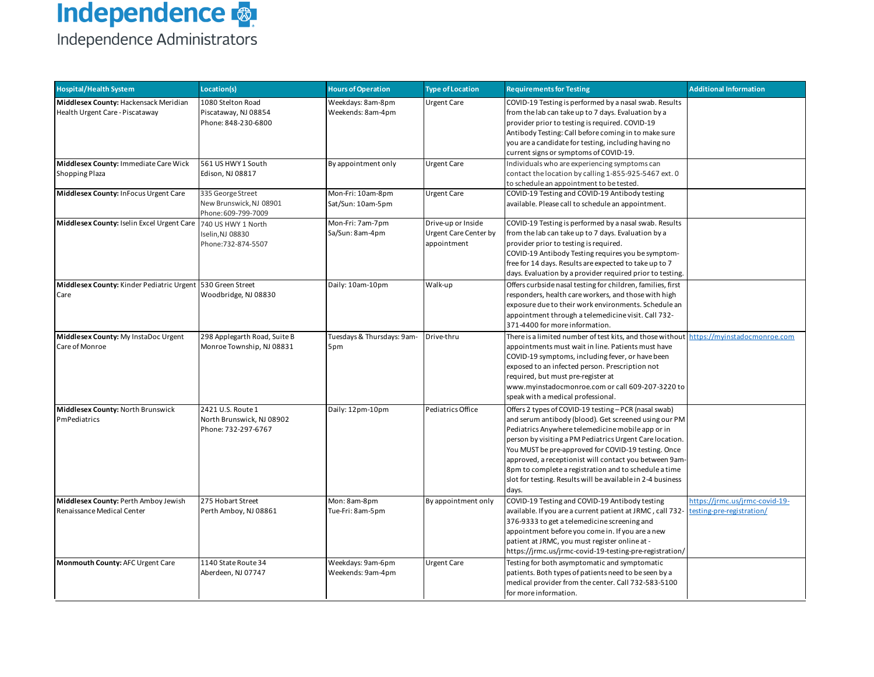# **Independence <mark>** $\frac{1}{2}$ **</mark>**

| <b>Hospital/Health System</b>                                            | Location(s)                                                           | <b>Hours of Operation</b>              | <b>Type of Location</b>                                    | <b>Requirements for Testing</b>                                                                                                                                                                                                                                                                                                                                                                                                                                                   | <b>Additional Information</b>                              |
|--------------------------------------------------------------------------|-----------------------------------------------------------------------|----------------------------------------|------------------------------------------------------------|-----------------------------------------------------------------------------------------------------------------------------------------------------------------------------------------------------------------------------------------------------------------------------------------------------------------------------------------------------------------------------------------------------------------------------------------------------------------------------------|------------------------------------------------------------|
| Middlesex County: Hackensack Meridian<br>Health Urgent Care - Piscataway | 1080 Stelton Road<br>Piscataway, NJ 08854<br>Phone: 848-230-6800      | Weekdays: 8am-8pm<br>Weekends: 8am-4pm | <b>Urgent Care</b>                                         | COVID-19 Testing is performed by a nasal swab. Results<br>from the lab can take up to 7 days. Evaluation by a<br>provider prior to testing is required. COVID-19<br>Antibody Testing: Call before coming in to make sure<br>you are a candidate for testing, including having no<br>current signs or symptoms of COVID-19.                                                                                                                                                        |                                                            |
| Middlesex County: Immediate Care Wick<br><b>Shopping Plaza</b>           | 561 US HWY 1 South<br>Edison, NJ 08817                                | By appointment only                    | <b>Urgent Care</b>                                         | Individuals who are experiencing symptoms can<br>contact the location by calling 1-855-925-5467 ext. 0<br>to schedule an appointment to be tested.                                                                                                                                                                                                                                                                                                                                |                                                            |
| Middlesex County: InFocus Urgent Care                                    | 335 George Street<br>New Brunswick, NJ 08901<br>Phone: 609-799-7009   | Mon-Fri: 10am-8pm<br>Sat/Sun: 10am-5pm | <b>Urgent Care</b>                                         | COVID-19 Testing and COVID-19 Antibody testing<br>available. Please call to schedule an appointment.                                                                                                                                                                                                                                                                                                                                                                              |                                                            |
| Middlesex County: Iselin Excel Urgent Care                               | 740 US HWY 1 North<br>Iselin, NJ 08830<br>Phone:732-874-5507          | Mon-Fri: 7am-7pm<br>Sa/Sun: 8am-4pm    | Drive-up or Inside<br>Urgent Care Center by<br>appointment | COVID-19 Testing is performed by a nasal swab. Results<br>from the lab can take up to 7 days. Evaluation by a<br>provider prior to testing is required.<br>COVID-19 Antibody Testing requires you be symptom-<br>free for 14 days. Results are expected to take up to 7<br>days. Evaluation by a provider required prior to testing.                                                                                                                                              |                                                            |
| Middlesex County: Kinder Pediatric Urgent 530 Green Street<br>Care       | Woodbridge, NJ 08830                                                  | Daily: 10am-10pm                       | Walk-up                                                    | Offers curbside nasal testing for children, families, first<br>responders, health care workers, and those with high<br>exposure due to their work environments. Schedule an<br>appointment through a telemedicine visit. Call 732-<br>371-4400 for more information.                                                                                                                                                                                                              |                                                            |
| Middlesex County: My InstaDoc Urgent<br>Care of Monroe                   | 298 Applegarth Road, Suite B<br>Monroe Township, NJ 08831             | Tuesdays & Thursdays: 9am-<br>5pm      | Drive-thru                                                 | There is a limited number of test kits, and those without https://myinstadocmonroe.com<br>appointments must wait in line. Patients must have<br>COVID-19 symptoms, including fever, or have been<br>exposed to an infected person. Prescription not<br>required, but must pre-register at<br>www.myinstadocmonroe.com or call 609-207-3220 to<br>speak with a medical professional.                                                                                               |                                                            |
| Middlesex County: North Brunswick<br>PmPediatrics                        | 2421 U.S. Route 1<br>North Brunswick, NJ 08902<br>Phone: 732-297-6767 | Daily: 12pm-10pm                       | Pediatrics Office                                          | Offers 2 types of COVID-19 testing - PCR (nasal swab)<br>and serum antibody (blood). Get screened using our PM<br>Pediatrics Anywhere telemedicine mobile app or in<br>person by visiting a PM Pediatrics Urgent Care location.<br>You MUST be pre-approved for COVID-19 testing. Once<br>approved, a receptionist will contact you between 9am-<br>8pm to complete a registration and to schedule a time<br>slot for testing. Results will be available in 2-4 business<br>days. |                                                            |
| Middlesex County: Perth Amboy Jewish<br>Renaissance Medical Center       | 275 Hobart Street<br>Perth Amboy, NJ 08861                            | Mon: 8am-8pm<br>Tue-Fri: 8am-5pm       | By appointment only                                        | COVID-19 Testing and COVID-19 Antibody testing<br>available. If you are a current patient at JRMC, call 732-<br>376-9333 to get a telemedicine screening and<br>appointment before you come in. If you are a new<br>patient at JRMC, you must register online at -<br>https://jrmc.us/jrmc-covid-19-testing-pre-registration/                                                                                                                                                     | https://jrmc.us/jrmc-covid-19-<br>esting-pre-registration/ |
| Monmouth County: AFC Urgent Care                                         | 1140 State Route 34<br>Aberdeen, NJ 07747                             | Weekdays: 9am-6pm<br>Weekends: 9am-4pm | <b>Urgent Care</b>                                         | Testing for both asymptomatic and symptomatic<br>patients. Both types of patients need to be seen by a<br>medical provider from the center. Call 732-583-5100<br>for more information.                                                                                                                                                                                                                                                                                            |                                                            |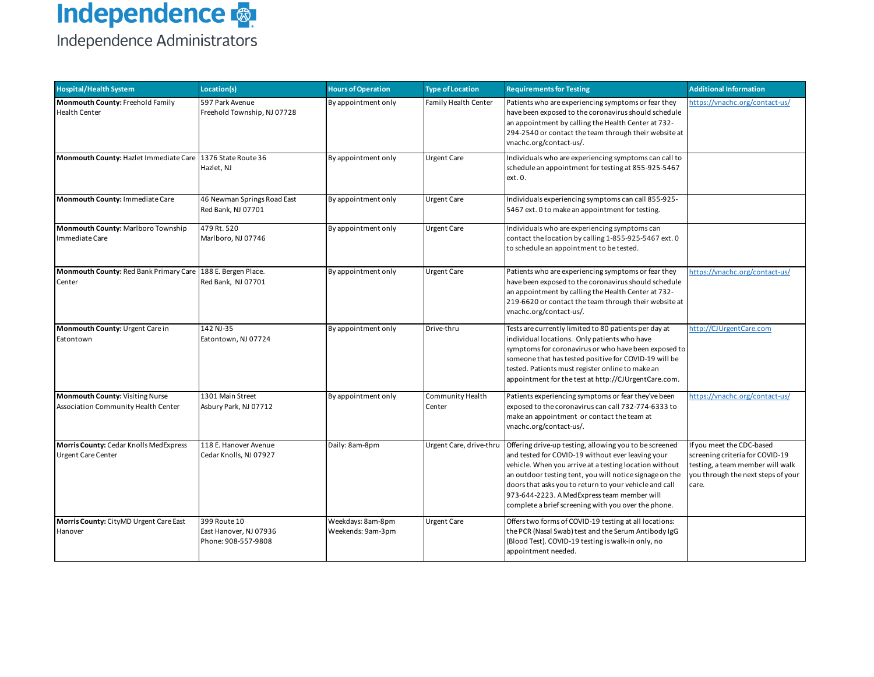| <b>Hospital/Health System</b>                                           | Location(s)                                                   | <b>Hours of Operation</b>              | <b>Type of Location</b>     | <b>Requirements for Testing</b>                                                                                                                                                                                                                                                                                                                                                                  | <b>Additional Information</b>                                                                                                                   |
|-------------------------------------------------------------------------|---------------------------------------------------------------|----------------------------------------|-----------------------------|--------------------------------------------------------------------------------------------------------------------------------------------------------------------------------------------------------------------------------------------------------------------------------------------------------------------------------------------------------------------------------------------------|-------------------------------------------------------------------------------------------------------------------------------------------------|
| Monmouth County: Freehold Family<br><b>Health Center</b>                | 597 Park Avenue<br>Freehold Township, NJ 07728                | By appointment only                    | <b>Family Health Center</b> | Patients who are experiencing symptoms or fear they<br>have been exposed to the coronavirus should schedule<br>an appointment by calling the Health Center at 732-<br>294-2540 or contact the team through their website at<br>vnachc.org/contact-us/.                                                                                                                                           | https://vnachc.org/contact-us/                                                                                                                  |
| Monmouth County: Hazlet Immediate Care 1376 State Route 36              | Hazlet, NJ                                                    | By appointment only                    | <b>Urgent Care</b>          | Individuals who are experiencing symptoms can call to<br>schedule an appointment for testing at 855-925-5467<br>ext. 0.                                                                                                                                                                                                                                                                          |                                                                                                                                                 |
| Monmouth County: Immediate Care                                         | 46 Newman Springs Road East<br>Red Bank, NJ 07701             | By appointment only                    | <b>Urgent Care</b>          | Individuals experiencing symptoms can call 855-925-<br>5467 ext. 0 to make an appointment for testing.                                                                                                                                                                                                                                                                                           |                                                                                                                                                 |
| Monmouth County: Marlboro Township<br>Immediate Care                    | 479 Rt. 520<br>Marlboro, NJ 07746                             | By appointment only                    | <b>Urgent Care</b>          | Individuals who are experiencing symptoms can<br>contact the location by calling 1-855-925-5467 ext. 0<br>to schedule an appointment to be tested.                                                                                                                                                                                                                                               |                                                                                                                                                 |
| Monmouth County: Red Bank Primary Care   188 E. Bergen Place.<br>Center | Red Bank, NJ 07701                                            | By appointment only                    | <b>Urgent Care</b>          | Patients who are experiencing symptoms or fear they<br>have been exposed to the coronavirus should schedule<br>an appointment by calling the Health Center at 732-<br>219-6620 or contact the team through their website at<br>vnachc.org/contact-us/.                                                                                                                                           | https://vnachc.org/contact-us/                                                                                                                  |
| Monmouth County: Urgent Care in<br>Eatontown                            | 142 NJ-35<br>Eatontown, NJ 07724                              | By appointment only                    | Drive-thru                  | Tests are currently limited to 80 patients per day at<br>individual locations. Only patients who have<br>symptoms for coronavirus or who have been exposed to<br>someone that has tested positive for COVID-19 will be<br>tested. Patients must register online to make an<br>appointment for the test at http://CJUrgentCare.com.                                                               | http://CJUrgentCare.com                                                                                                                         |
| Monmouth County: Visiting Nurse<br>Association Community Health Center  | 1301 Main Street<br>Asbury Park, NJ 07712                     | By appointment only                    | Community Health<br>Center  | Patients experiencing symptoms or fear they've been<br>exposed to the coronavirus can call 732-774-6333 to<br>make an appointment or contact the team at<br>vnachc.org/contact-us/.                                                                                                                                                                                                              | https://vnachc.org/contact-us/                                                                                                                  |
| Morris County: Cedar Knolls MedExpress<br><b>Urgent Care Center</b>     | 118 E. Hanover Avenue<br>Cedar Knolls, NJ 07927               | Daily: 8am-8pm                         | Urgent Care, drive-thru     | Offering drive-up testing, allowing you to be screened<br>and tested for COVID-19 without ever leaving your<br>vehicle. When you arrive at a testing location without<br>an outdoor testing tent, you will notice signage on the<br>doors that asks you to return to your vehicle and call<br>973-644-2223. A MedExpress team member will<br>complete a brief screening with you over the phone. | If you meet the CDC-based<br>screening criteria for COVID-19<br>testing, a team member will walk<br>you through the next steps of your<br>care. |
| Morris County: CityMD Urgent Care East<br>Hanover                       | 399 Route 10<br>East Hanover, NJ 07936<br>Phone: 908-557-9808 | Weekdays: 8am-8pm<br>Weekends: 9am-3pm | <b>Urgent Care</b>          | Offers two forms of COVID-19 testing at all locations:<br>the PCR (Nasal Swab) test and the Serum Antibody IgG<br>(Blood Test). COVID-19 testing is walk-in only, no<br>appointment needed.                                                                                                                                                                                                      |                                                                                                                                                 |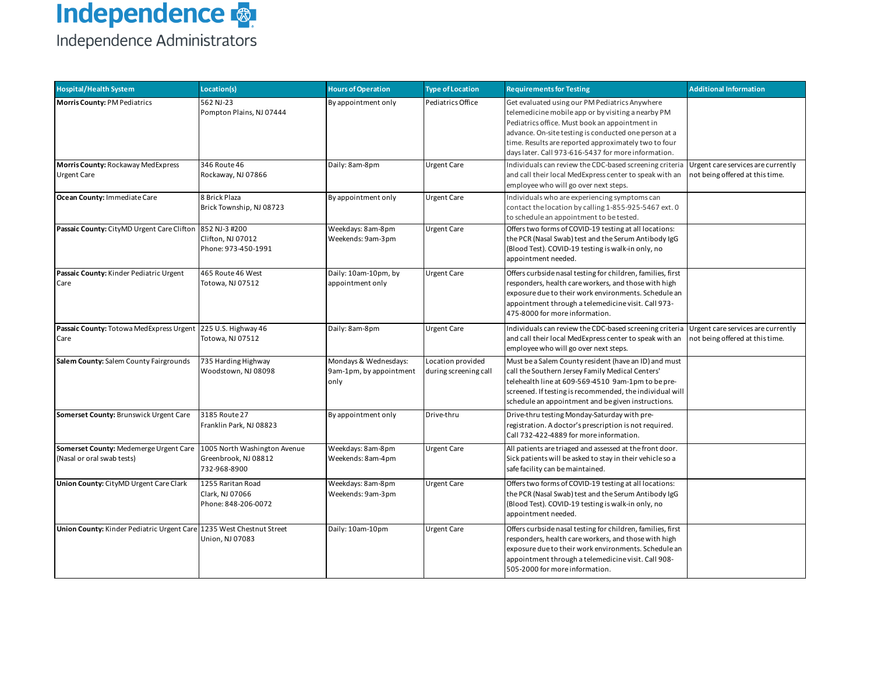

| <b>Hospital/Health System</b>                                        | Location(s)                                                          | <b>Hours of Operation</b>                                | <b>Type of Location</b>                    | <b>Requirements for Testing</b>                                                                                                                                                                                                                                                                                                | <b>Additional Information</b>                                         |
|----------------------------------------------------------------------|----------------------------------------------------------------------|----------------------------------------------------------|--------------------------------------------|--------------------------------------------------------------------------------------------------------------------------------------------------------------------------------------------------------------------------------------------------------------------------------------------------------------------------------|-----------------------------------------------------------------------|
| <b>Morris County: PM Pediatrics</b>                                  | 562 NJ-23<br>Pompton Plains, NJ 07444                                | By appointment only                                      | Pediatrics Office                          | Get evaluated using our PM Pediatrics Anywhere<br>telemedicine mobile app or by visiting a nearby PM<br>Pediatrics office. Must book an appointment in<br>advance. On-site testing is conducted one person at a<br>time. Results are reported approximately two to four<br>days later. Call 973-616-5437 for more information. |                                                                       |
| Morris County: Rockaway MedExpress<br><b>Urgent Care</b>             | 346 Route 46<br>Rockaway, NJ 07866                                   | Daily: 8am-8pm                                           | <b>Urgent Care</b>                         | Individuals can review the CDC-based screening criteria<br>and call their local MedExpress center to speak with an<br>employee who will go over next steps.                                                                                                                                                                    | Urgent care services are currently<br>not being offered at this time. |
| Ocean County: Immediate Care                                         | 8 Brick Plaza<br>Brick Township, NJ 08723                            | By appointment only                                      | <b>Urgent Care</b>                         | Individuals who are experiencing symptoms can<br>contact the location by calling 1-855-925-5467 ext. 0<br>to schedule an appointment to be tested.                                                                                                                                                                             |                                                                       |
| Passaic County: CityMD Urgent Care Clifton                           | 852 NJ-3 #200<br>Clifton, NJ 07012<br>Phone: 973-450-1991            | Weekdays: 8am-8pm<br>Weekends: 9am-3pm                   | <b>Urgent Care</b>                         | Offers two forms of COVID-19 testing at all locations:<br>the PCR (Nasal Swab) test and the Serum Antibody IgG<br>(Blood Test). COVID-19 testing is walk-in only, no<br>appointment needed.                                                                                                                                    |                                                                       |
| Passaic County: Kinder Pediatric Urgent<br>Care                      | 465 Route 46 West<br>Totowa, NJ 07512                                | Daily: 10am-10pm, by<br>appointment only                 | <b>Urgent Care</b>                         | Offers curbside nasal testing for children, families, first<br>responders, health care workers, and those with high<br>exposure due to their work environments. Schedule an<br>appointment through a telemedicine visit. Call 973-<br>475-8000 for more information.                                                           |                                                                       |
| Passaic County: Totowa MedExpress Urgent<br>Care                     | 225 U.S. Highway 46<br>Totowa, NJ 07512                              | Daily: 8am-8pm                                           | <b>Urgent Care</b>                         | Individuals can review the CDC-based screening criteria<br>and call their local MedExpress center to speak with an<br>employee who will go over next steps.                                                                                                                                                                    | Urgent care services are currently<br>not being offered at this time. |
| Salem County: Salem County Fairgrounds                               | 735 Harding Highway<br>Woodstown, NJ 08098                           | Mondays & Wednesdays:<br>9am-1pm, by appointment<br>only | Location provided<br>during screening call | Must be a Salem County resident (have an ID) and must<br>call the Southern Jersey Family Medical Centers'<br>telehealth line at 609-569-4510 9am-1pm to be pre-<br>screened. If testing is recommended, the individual will<br>schedule an appointment and be given instructions.                                              |                                                                       |
| Somerset County: Brunswick Urgent Care                               | 3185 Route 27<br>Franklin Park, NJ 08823                             | By appointment only                                      | Drive-thru                                 | Drive-thru testing Monday-Saturday with pre-<br>registration. A doctor's prescription is not required.<br>Call 732-422-4889 for more information.                                                                                                                                                                              |                                                                       |
| Somerset County: Medemerge Urgent Care<br>(Nasal or oral swab tests) | 1005 North Washington Avenue<br>Greenbrook, NJ 08812<br>732-968-8900 | Weekdays: 8am-8pm<br>Weekends: 8am-4pm                   | <b>Urgent Care</b>                         | All patients are triaged and assessed at the front door.<br>Sick patients will be asked to stay in their vehicle so a<br>safe facility can be maintained.                                                                                                                                                                      |                                                                       |
| Union County: CityMD Urgent Care Clark                               | 1255 Raritan Road<br>Clark, NJ 07066<br>Phone: 848-206-0072          | Weekdays: 8am-8pm<br>Weekends: 9am-3pm                   | <b>Urgent Care</b>                         | Offers two forms of COVID-19 testing at all locations:<br>the PCR (Nasal Swab) test and the Serum Antibody IgG<br>(Blood Test). COVID-19 testing is walk-in only, no<br>appointment needed.                                                                                                                                    |                                                                       |
| Union County: Kinder Pediatric Urgent Care 1235 West Chestnut Street | Union, NJ 07083                                                      | Daily: 10am-10pm                                         | <b>Urgent Care</b>                         | Offers curbside nasal testing for children, families, first<br>responders, health care workers, and those with high<br>exposure due to their work environments. Schedule an<br>appointment through a telemedicine visit. Call 908-<br>505-2000 for more information.                                                           |                                                                       |